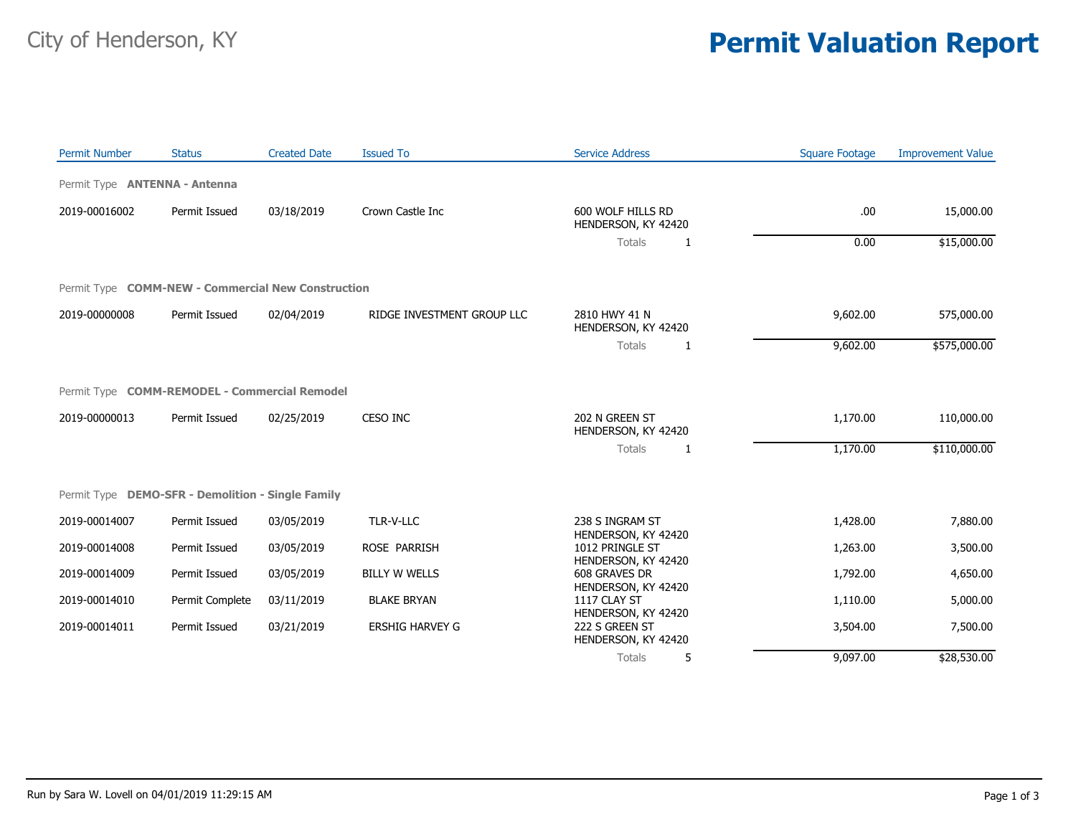## City of Henderson, KY **Permit Valuation Report**

| <b>Permit Number</b>                               | <b>Status</b>   | <b>Created Date</b> | <b>Issued To</b>           | <b>Service Address</b>                   | <b>Square Footage</b> | <b>Improvement Value</b> |
|----------------------------------------------------|-----------------|---------------------|----------------------------|------------------------------------------|-----------------------|--------------------------|
| Permit Type <b>ANTENNA - Antenna</b>               |                 |                     |                            |                                          |                       |                          |
| 2019-00016002                                      | Permit Issued   | 03/18/2019          | Crown Castle Inc           | 600 WOLF HILLS RD<br>HENDERSON, KY 42420 | .00.                  | 15,000.00                |
|                                                    |                 |                     |                            | Totals<br>1                              | 0.00                  | \$15,000.00              |
| Permit Type COMM-NEW - Commercial New Construction |                 |                     |                            |                                          |                       |                          |
| 2019-00000008                                      | Permit Issued   | 02/04/2019          | RIDGE INVESTMENT GROUP LLC | 2810 HWY 41 N<br>HENDERSON, KY 42420     | 9,602.00              | 575,000.00               |
|                                                    |                 |                     |                            | Totals<br>1                              | 9,602.00              | \$575,000.00             |
| Permit Type COMM-REMODEL - Commercial Remodel      |                 |                     |                            |                                          |                       |                          |
| 2019-00000013                                      | Permit Issued   | 02/25/2019          | CESO INC                   | 202 N GREEN ST<br>HENDERSON, KY 42420    | 1,170.00              | 110,000.00               |
|                                                    |                 |                     |                            | <b>Totals</b><br>1                       | 1,170.00              | \$110,000.00             |
| Permit Type DEMO-SFR - Demolition - Single Family  |                 |                     |                            |                                          |                       |                          |
| 2019-00014007                                      | Permit Issued   | 03/05/2019          | TLR-V-LLC                  | 238 S INGRAM ST<br>HENDERSON, KY 42420   | 1,428.00              | 7,880.00                 |
| 2019-00014008                                      | Permit Issued   | 03/05/2019          | ROSE PARRISH               | 1012 PRINGLE ST<br>HENDERSON, KY 42420   | 1,263.00              | 3,500.00                 |
| 2019-00014009                                      | Permit Issued   | 03/05/2019          | <b>BILLY W WELLS</b>       | 608 GRAVES DR<br>HENDERSON, KY 42420     | 1,792.00              | 4,650.00                 |
| 2019-00014010                                      | Permit Complete | 03/11/2019          | <b>BLAKE BRYAN</b>         | 1117 CLAY ST<br>HENDERSON, KY 42420      | 1,110.00              | 5,000.00                 |
| 2019-00014011                                      | Permit Issued   | 03/21/2019          | <b>ERSHIG HARVEY G</b>     | 222 S GREEN ST<br>HENDERSON, KY 42420    | 3,504.00              | 7,500.00                 |
|                                                    |                 |                     |                            | 5<br>Totals                              | 9,097.00              | \$28,530.00              |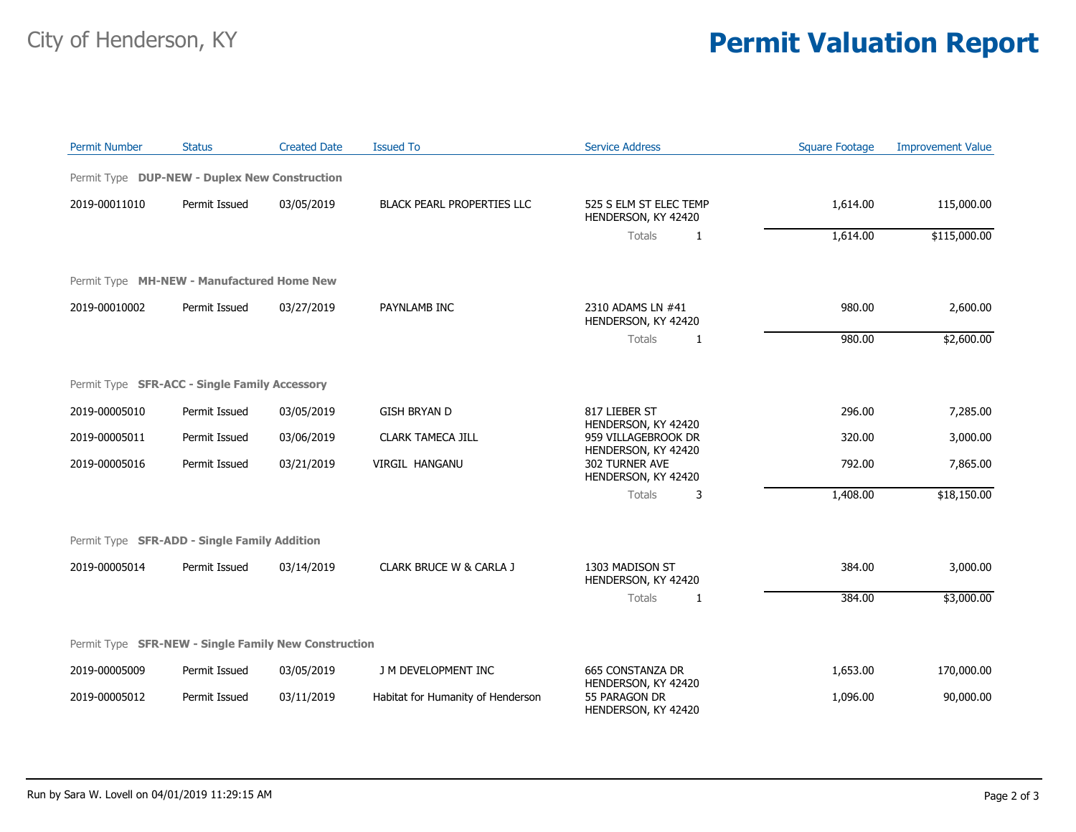## City of Henderson, KY **Permit Valuation Report**

| <b>Permit Number</b> | <b>Status</b>                                        | <b>Created Date</b> | <b>Issued To</b>                  | <b>Service Address</b>                                      | <b>Square Footage</b> | <b>Improvement Value</b> |
|----------------------|------------------------------------------------------|---------------------|-----------------------------------|-------------------------------------------------------------|-----------------------|--------------------------|
|                      | Permit Type DUP-NEW - Duplex New Construction        |                     |                                   |                                                             |                       |                          |
| 2019-00011010        | Permit Issued                                        | 03/05/2019          | <b>BLACK PEARL PROPERTIES LLC</b> | 525 S ELM ST ELEC TEMP<br>HENDERSON, KY 42420               | 1,614.00              | 115,000.00               |
|                      |                                                      |                     |                                   | <b>Totals</b><br>1                                          | 1,614.00              | \$115,000.00             |
|                      | Permit Type MH-NEW - Manufactured Home New           |                     |                                   |                                                             |                       |                          |
| 2019-00010002        | Permit Issued                                        | 03/27/2019          | PAYNLAMB INC                      | 2310 ADAMS LN #41<br>HENDERSON, KY 42420                    | 980.00                | 2,600.00                 |
|                      |                                                      |                     |                                   | Totals<br>1                                                 | 980.00                | \$2,600.00               |
|                      | Permit Type SFR-ACC - Single Family Accessory        |                     |                                   |                                                             |                       |                          |
| 2019-00005010        | Permit Issued                                        | 03/05/2019          | <b>GISH BRYAN D</b>               | 817 LIEBER ST<br>HENDERSON, KY 42420                        | 296.00                | 7,285.00                 |
| 2019-00005011        | Permit Issued                                        | 03/06/2019          | <b>CLARK TAMECA JILL</b>          | 959 VILLAGEBROOK DR<br>HENDERSON, KY 42420                  | 320.00                | 3,000.00                 |
| 2019-00005016        | Permit Issued                                        | 03/21/2019          | VIRGIL HANGANU                    | 302 TURNER AVE<br>HENDERSON, KY 42420                       | 792.00                | 7,865.00                 |
|                      |                                                      |                     |                                   | Totals<br>3                                                 | 1,408.00              | \$18,150.00              |
|                      | Permit Type SFR-ADD - Single Family Addition         |                     |                                   |                                                             |                       |                          |
| 2019-00005014        | Permit Issued                                        | 03/14/2019          | CLARK BRUCE W & CARLA J           | 1303 MADISON ST<br>HENDERSON, KY 42420                      | 384.00                | 3,000.00                 |
|                      |                                                      |                     |                                   | Totals<br>1                                                 | 384.00                | \$3,000.00               |
|                      | Permit Type SFR-NEW - Single Family New Construction |                     |                                   |                                                             |                       |                          |
| 2019-00005009        | Permit Issued                                        | 03/05/2019          | J M DEVELOPMENT INC               | <b>665 CONSTANZA DR</b>                                     | 1,653.00              | 170,000.00               |
| 2019-00005012        | Permit Issued                                        | 03/11/2019          | Habitat for Humanity of Henderson | HENDERSON, KY 42420<br>55 PARAGON DR<br>HENDERSON, KY 42420 | 1,096.00              | 90,000.00                |